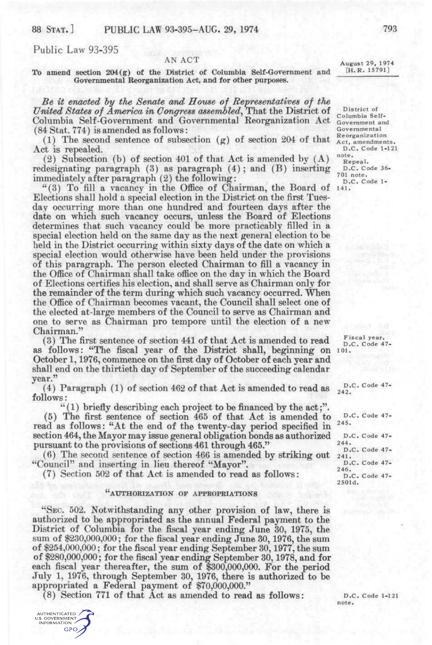## Public Law 93-395

## AN ACT<br>Netwist of Columbia Solf Government and [H.R. 15791] To amend section  $204(g)$  of the District of Columbia Self-Government and **Governmental Reorganization Act, and for other purposes.**

*Be it endcted hy the Senate and House of Bepresentatwes of the United States of America in Congress assembled*, That the District of *Columbia* Self-Columbia Self-Government and Governmental Reorganization Act Government and  $(84 \text{ Stat.} 774)$  is amended as follows:<br> $(3)$  Governmental Reorganization

(1) The second sentence of subsection (g) of section 204 of that  $\frac{K_{\text{cct, amendments}}{\text{Act, an endments}}$ . Act is repealed. D.C.

(2) Subsection (b) of section 401 of that Act is amended by  $(A)$  note,<br>designating paragraph (3) as paragraph (4); and (B) inserting p.c. code 36redesignating paragraph (3) as paragraph (4); and (B) inserting  $\frac{D.C.C}{701 \text{ note}}$ . immediately after paragraph (2) the following:  $\overline{D.C. Code 1-}$ 

"(3) To fill a vacancy in the Office of Chairman, the Board of 141. Elections shall hold a special election in the District on the first Tuesday occurring more than one hundred and fourteen days after the date on which such vacancy occurs, unless the Board of Elections determines that such vacancy could be more practicably filled in a special election held on the same day as the next general election to be held in the District occurring within sixty days of the date on which a special election would otherwise have been held under the provisions of this paragraph. The person elected Chairman to fill a vacancy in the Office of Chairman shall take office on the day in which the Board of Elections certifies his election, and shall serve as Chairman only for the remainder of the term during which such vacancy occurred. When the Office of Chairman becomes vacant, the Council shall select one of the elected at-large members of the Council to serve as Chairman and one to serve as Chairman pro tempore until the election of a new Chairman."

(3) The first sentence of section 441 of that Act is amended to read  $\frac{F_{\text{iscal year}}}{D.C. \text{Code } 47-}$ as follows: "The fiscal year of the District shall, beginning on 101. October 1,1976, commence on the first day of October of each year and shall end on the thirtieth day of September of the succeeding calendar year."

(4) Paragraph (1) of section 462 of that Act is amended to read as follows:

"(1) briefly describing each project to be financed by the act;".

(5) The first sentence of section 465 of that Act is amended to read as follows: "At the end of the twenty-day period specified in section 464, the Mayor may issue general obligation bonds as authorized pursuant to the provisions of sections 461 through 465."

(6) The second sentence of section 466 is amended by striking out "Council" and inserting in lieu thereof "Mayor".

(7) Section 502 of that Act is amended to read as follows:

### **(( AUTHORIZATION OF APPROPRIATIONS**

"SEC, 502. Notwithstanding any other provision of law, there is authorized to be appropriated as the annual Federal payment to the District of Columbia for the fiscal year ending June 30, 1975, the sum of \$230,000,000; for the fiscal year ending June 30, 1976, the sum of \$254,000,000; for the fiscal year ending September 30,1977, the sum of \$280,000,000; for the fiscal year ending September 30,1978, and for each fiscal year thereafter, the sum of \$300,000,000. For the period July 1, 1976, through September 30, 1976, there is authorized to be appropriated a Federal payment of \$70,000,000."

(8) Section 771 of that Act as amended to read as follows:  $D.C. Code 1-121$ 

**AUTHENTICATED** U.S. GOVERNMENT **GPO** 

District of Columbia Self-

D.C. Code 47 242.

D.C. Code 47 245,

D.C. Code 47-244. D.C. Code 47 241 . D.C. Code 47-246, D.C. Code 47-2501d.